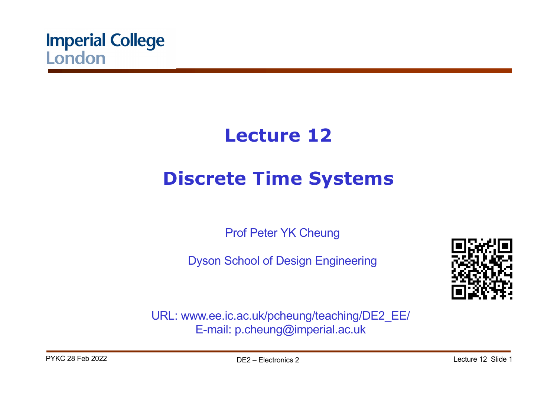

# **Lecture 12**

# **Discrete Time Systems**

Prof Peter YK Cheung

Dyson School of Design Engineering



URL: www.ee.ic.ac.uk/pcheung/teaching/DE2\_EE/ E-mail: p.cheung@imperial.ac.uk

PYKC 28 Feb 2022 **DE2** – Flectronics 2 DE2 – Electronics 2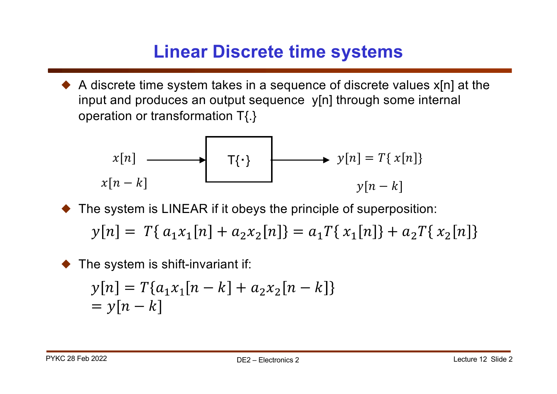#### **Linear Discrete time systems**

 $\blacklozenge$  A discrete time system takes in a sequence of discrete values  $x[n]$  at the input and produces an output sequence y[n] through some internal operation or transformation T{.}

$$
x[n] \longrightarrow T\{\cdot\}
$$
  

$$
x[n-k] \longrightarrow y[n] = T\{x[n]\}
$$
  

$$
y[n-k]
$$

- The system is LINEAR if it obeys the principle of superposition:  $y[n] = T\{a_1x_1[n] + a_2x_2[n]\} = a_1T\{x_1[n]\} + a_2T\{x_2[n]\}$
- The system is shift-invariant if:

$$
y[n] = T\{a_1x_1[n-k] + a_2x_2[n-k]\}
$$
  
=  $y[n-k]$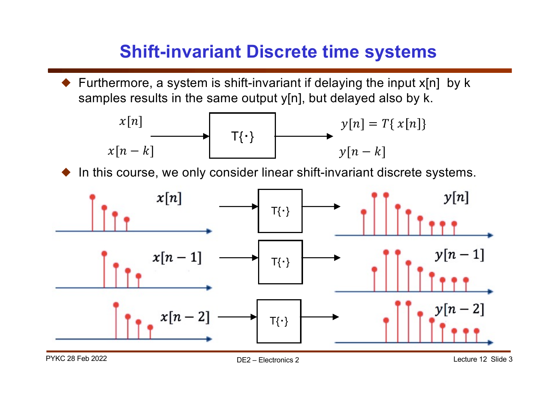#### **Shift-invariant Discrete time systems**

! Furthermore, a system is shift-invariant if delaying the input x[n] by k samples results in the same output y[n], but delayed also by k.

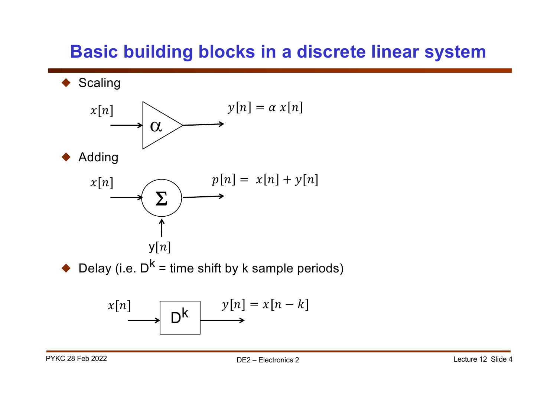#### **Basic building blocks in a discrete linear system**

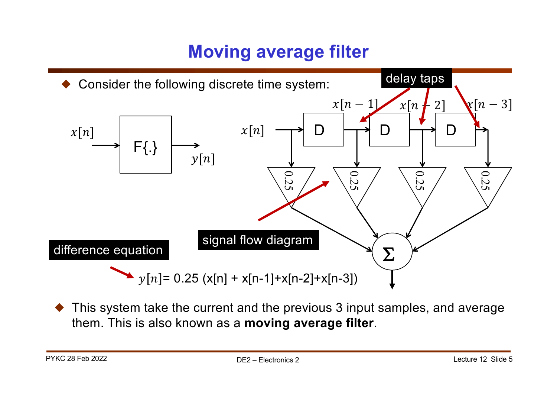# **Moving average filter**



This system take the current and the previous 3 input samples, and average them. This is also known as a **moving average filter**.

PYKC 28 Feb 2022 **DE2** – Electronics 2 Lecture 12 Slide 5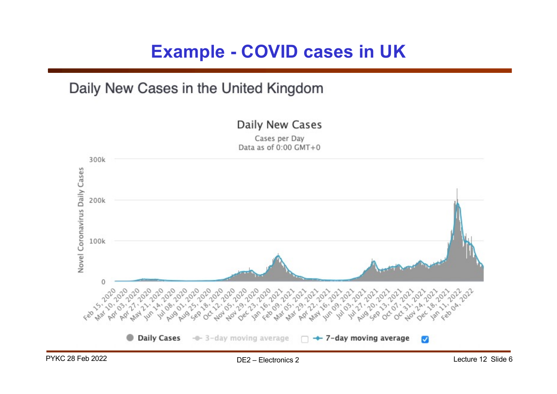#### **Example - COVID cases in UK**

Daily New Cases

#### Daily New Cases in the United Kingdom

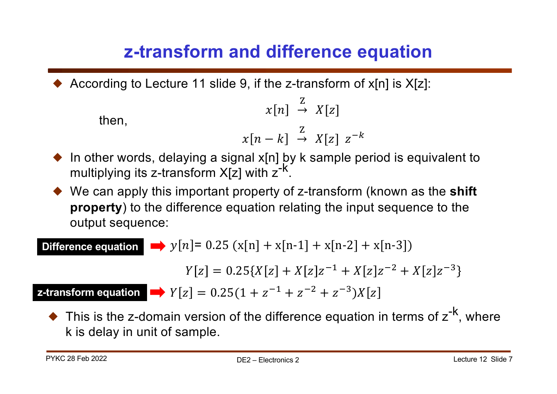# **z-transform and difference equation**

According to Lecture 11 slide 9, if the z-transform of  $x[n]$  is  $X[z]$ :

then,  
\n
$$
x[n] \stackrel{Z}{\rightarrow} X[z]
$$
\n
$$
x[n-k] \stackrel{Z}{\rightarrow} X[z] \ z^{-k}
$$

- $\blacklozenge$  In other words, delaying a signal x[n] by k sample period is equivalent to multiplying its z-transform  $X[z]$  with  $z^{-k}$ .
- ◆ We can apply this important property of z-transform (known as the **shift property**) to the difference equation relating the input sequence to the output sequence:

**Difference equation**  $\longrightarrow y[n] = 0.25 (x[n] + x[n-1] + x[n-2] + x[n-3])$ 

 $Y[z] = 0.25\{X[z] + X[z]z^{-1} + X[z]z^{-2} + X[z]z^{-3}\}$ 

**z-transform equation**  $Y[z] = 0.25(1 + z^{-1} + z^{-2} + z^{-3})X[z]$ 

 $\blacklozenge$  This is the z-domain version of the difference equation in terms of  $z^{-k}$ , where k is delay in unit of sample.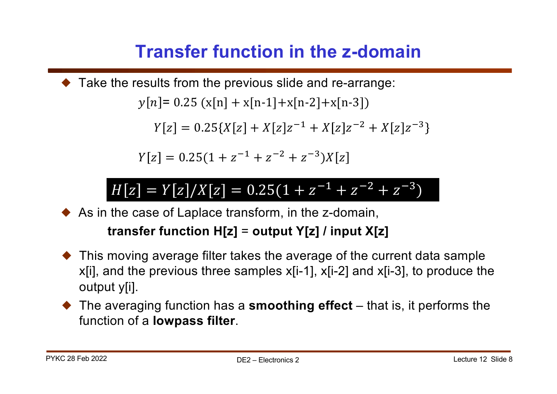# **Transfer function in the z-domain**

! Take the results from the previous slide and re-arrange:  $\nu[n] = 0.25 \left( \frac{x[n]}{1 + x[n-1]} + \frac{x[n-2]}{x[n-3]} \right)$ 

 $Y[z] = 0.25\{X[z] + X[z]z^{-1} + X[z]z^{-2} + X[z]z^{-3}\}$ 

 $Y[z] = 0.25(1 + z^{-1} + z^{-2} + z^{-3})X[z]$ 

### $H[z] = Y[z]/X[z] = 0.25(1 + z^{-1} + z^{-2} + z^{-3})$

 $\blacklozenge$  As in the case of Laplace transform, in the z-domain,

#### **transfer function H[z]** = **output Y[z] / input X[z]**

- $\blacklozenge$  This moving average filter takes the average of the current data sample x[i], and the previous three samples x[i-1], x[i-2] and x[i-3], to produce the output y[i].
- ◆ The averaging function has a **smoothing effect** that is, it performs the function of a **lowpass filter**.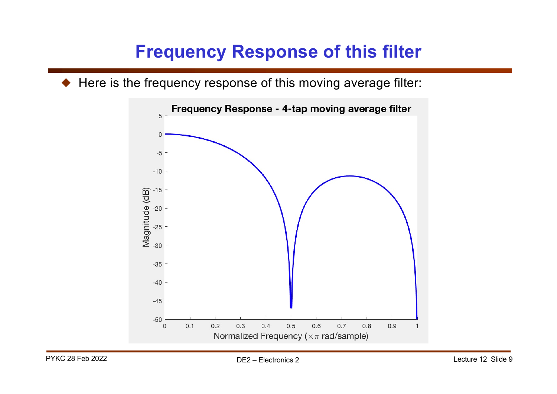# **Frequency Response of this filter**

 $\blacklozenge$  Here is the frequency response of this moving average filter:

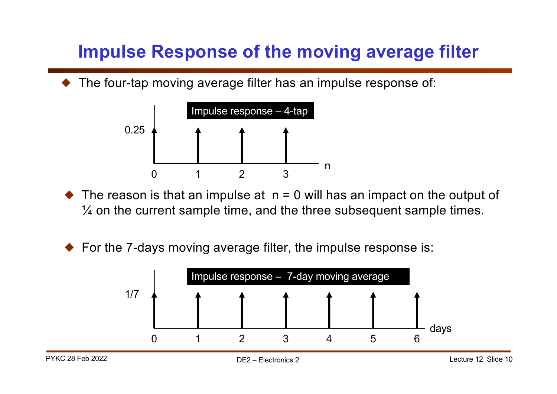# **Impulse Response of the moving average filter**

The four-tap moving average filter has an impulse response of:



- $\triangle$  The reason is that an impulse at  $n = 0$  will has an impact on the output of  $\frac{1}{4}$  on the current sample time, and the three subsequent sample times.
- $\blacklozenge$  For the 7-days moving average filter, the impulse response is:

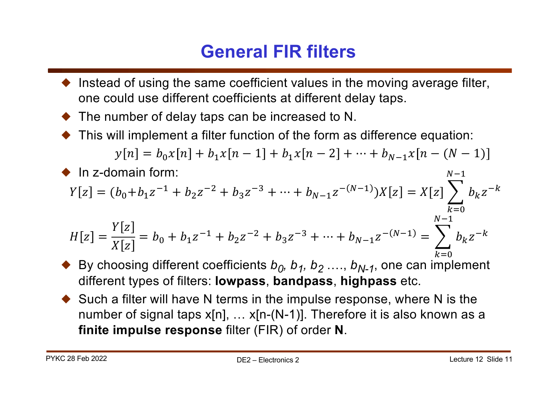# **General FIR filters**

- Instead of using the same coefficient values in the moving average filter, one could use different coefficients at different delay taps.
- The number of delay taps can be increased to N.
- This will implement a filter function of the form as difference equation:

$$
y[n] = b_0 x[n] + b_1 x[n-1] + b_1 x[n-2] + \dots + b_{N-1} x[n-(N-1)]
$$

• In z-domain form:  
\n
$$
Y[z] = (b_0 + b_1 z^{-1} + b_2 z^{-2} + b_3 z^{-3} + \dots + b_{N-1} z^{-(N-1)})X[z] = X[z] \sum_{k=0}^{N-1} b_k z^{-k}
$$
\n
$$
H[z] = \frac{Y[z]}{X[z]} = b_0 + b_1 z^{-1} + b_2 z^{-2} + b_3 z^{-3} + \dots + b_{N-1} z^{-(N-1)} = \sum_{k=0}^{N-1} b_k z^{-k}
$$

- By choosing different coefficients  $b_0$ ,  $b_1$ ,  $b_2$  ....,  $b_{N-1}$ , one can implement different types of filters: **lowpass**, **bandpass**, **highpass** etc.
- $\blacklozenge$  Such a filter will have N terms in the impulse response, where N is the number of signal taps x[n], ... x[n-(N-1)]. Therefore it is also known as a **finite impulse response** filter (FIR) of order **N**.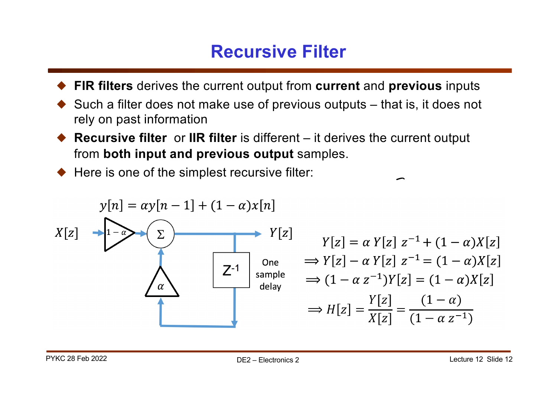#### **Recursive Filter**

- ! **FIR filters** derives the current output from **current** and **previous** inputs
- ! Such a filter does not make use of previous outputs that is, it does not rely on past information
- ! **Recursive filter** or **IIR filter** is different it derives the current output from **both input and previous output** samples.
- $\blacklozenge$  Here is one of the simplest recursive filter:

$$
Y[z] \longrightarrow Y[z]
$$
\n
$$
X[z] \longrightarrow Y[z]
$$
\n
$$
Y[z] \longrightarrow Y[z] \longrightarrow Y[z] = \alpha Y[z] z^{-1} + (1 - \alpha)X[z]
$$
\n
$$
Y[z] \longrightarrow Y[z] = \alpha Y[z] z^{-1} + (1 - \alpha)X[z]
$$
\n
$$
Y[z] \longrightarrow Y[z] - \alpha Y[z] z^{-1} = (1 - \alpha)X[z]
$$
\n
$$
\Rightarrow H[z] = \frac{Y[z]}{X[z]} = \frac{(1 - \alpha)}{(1 - \alpha z^{-1})}
$$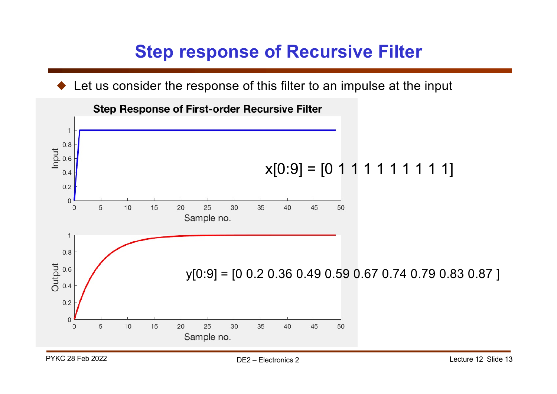# **Step response of Recursive Filter**

Let us consider the response of this filter to an impulse at the input